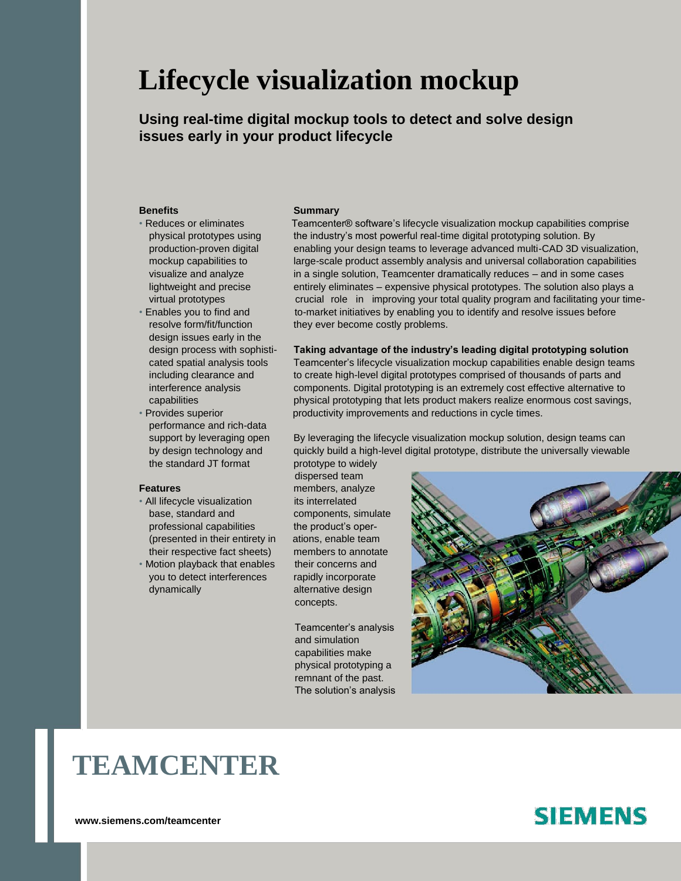# **Lifecycle visualization mockup**

**Using real-time digital mockup tools to detect and solve design issues early in your product lifecycle**

- 
- design issues early in the
- performance and rich-data the standard JT format prototype to widely

- All lifecycle visualization its interrelated base, standard and components, simulate professional capabilities the product's oper-(presented in their entirety in ations, enable team their respective fact sheets) members to annotate
- Motion playback that enables their concerns and you to detect interferences rapidly incorporate dynamically alternative design

### **Benefits Summary**

• Reduces or eliminates Teamcenter® software's lifecycle visualization mockup capabilities comprise physical prototypes using the industry's most powerful real-time digital prototyping solution. By production-proven digital enabling your design teams to leverage advanced multi-CAD 3D visualization, mockup capabilities to large-scale product assembly analysis and universal collaboration capabilities visualize and analyze in a single solution, Teamcenter dramatically reduces – and in some cases lightweight and precise entirely eliminates – expensive physical prototypes. The solution also plays a virtual prototypes crucial role in improving your total quality program and facilitating your time-• Enables you to find and to-market initiatives by enabling you to identify and resolve issues before resolve form/fit/function they ever become costly problems.

### design process with sophisti- **Taking advantage of the industry's leading digital prototyping solution**

cated spatial analysis tools Teamcenter's lifecycle visualization mockup capabilities enable design teams including clearance and to create high-level digital prototypes comprised of thousands of parts and interference analysis components. Digital prototyping is an extremely cost effective alternative to capabilities physical prototyping that lets product makers realize enormous cost savings, • Provides superior productivity improvements and reductions in cycle times.

support by leveraging open By leveraging the lifecycle visualization mockup solution, design teams can by design technology and quickly build a high-level digital prototype, distribute the universally viewable

dispersed team **Features** members, analyze concepts.

> Teamcenter's analysis and simulation capabilities make physical prototyping a remnant of the past. The solution's analysis



# **TEAMCENTER**

**<www.siemens.com/teamcenter>**

## **SIEMENS**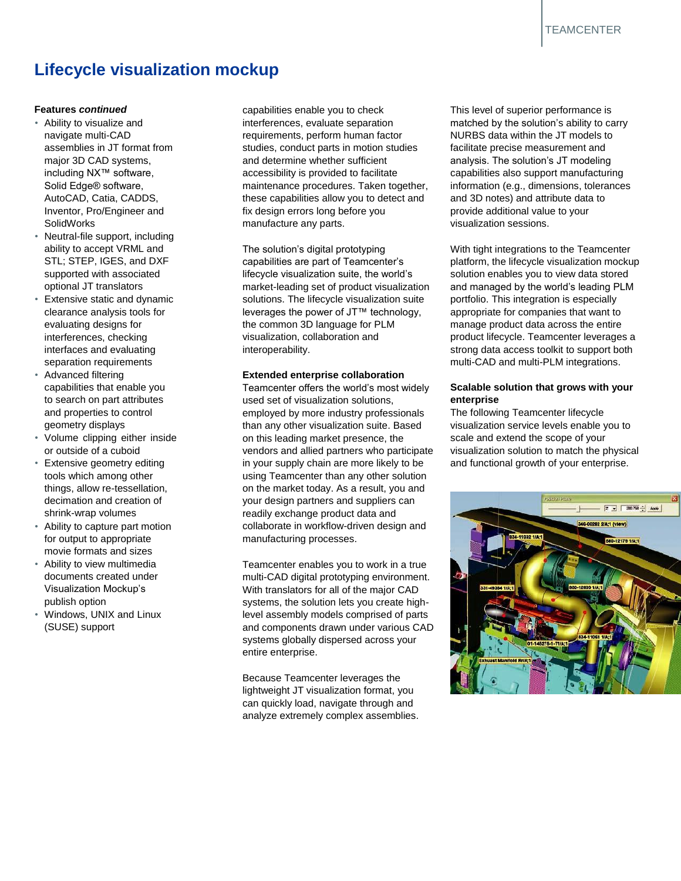## **Lifecycle visualization mockup**

### **Features** *continued*

- Ability to visualize and navigate multi-CAD assemblies in JT format from major 3D CAD systems, including NX™ software, Solid Edge® software, AutoCAD, Catia, CADDS, Inventor, Pro/Engineer and SolidWorks
- Neutral-file support, including ability to accept VRML and STL; STEP, IGES, and DXF supported with associated optional JT translators
- Extensive static and dynamic clearance analysis tools for evaluating designs for interferences, checking interfaces and evaluating separation requirements
- Advanced filtering capabilities that enable you to search on part attributes and properties to control geometry displays
- Volume clipping either inside or outside of a cuboid
- Extensive geometry editing tools which among other things, allow re-tessellation, decimation and creation of shrink-wrap volumes
- Ability to capture part motion for output to appropriate movie formats and sizes
- Ability to view multimedia documents created under Visualization Mockup's publish option
- Windows, UNIX and Linux (SUSE) support

capabilities enable you to check interferences, evaluate separation requirements, perform human factor studies, conduct parts in motion studies and determine whether sufficient accessibility is provided to facilitate maintenance procedures. Taken together, these capabilities allow you to detect and fix design errors long before you manufacture any parts.

The solution's digital prototyping capabilities are part of Teamcenter's lifecycle visualization suite, the world's market-leading set of product visualization solutions. The lifecycle visualization suite leverages the power of JT™ technology, the common 3D language for PLM visualization, collaboration and interoperability.

### **Extended enterprise collaboration**

Teamcenter offers the world's most widely used set of visualization solutions, employed by more industry professionals than any other visualization suite. Based on this leading market presence, the vendors and allied partners who participate in your supply chain are more likely to be using Teamcenter than any other solution on the market today. As a result, you and your design partners and suppliers can readily exchange product data and collaborate in workflow-driven design and manufacturing processes.

Teamcenter enables you to work in a true multi-CAD digital prototyping environment. With translators for all of the major CAD systems, the solution lets you create highlevel assembly models comprised of parts and components drawn under various CAD systems globally dispersed across your entire enterprise.

Because Teamcenter leverages the lightweight JT visualization format, you can quickly load, navigate through and analyze extremely complex assemblies.

This level of superior performance is matched by the solution's ability to carry NURBS data within the JT models to facilitate precise measurement and analysis. The solution's JT modeling capabilities also support manufacturing information (e.g., dimensions, tolerances and 3D notes) and attribute data to provide additional value to your visualization sessions.

With tight integrations to the Teamcenter platform, the lifecycle visualization mockup solution enables you to view data stored and managed by the world's leading PLM portfolio. This integration is especially appropriate for companies that want to manage product data across the entire product lifecycle. Teamcenter leverages a strong data access toolkit to support both multi-CAD and multi-PLM integrations.

### **Scalable solution that grows with your enterprise**

The following Teamcenter lifecycle visualization service levels enable you to scale and extend the scope of your visualization solution to match the physical and functional growth of your enterprise.